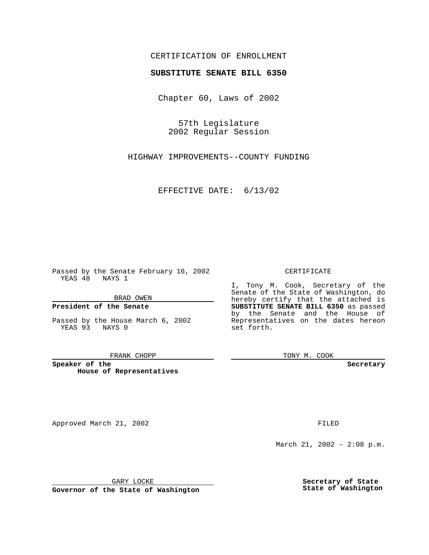### CERTIFICATION OF ENROLLMENT

# **SUBSTITUTE SENATE BILL 6350**

Chapter 60, Laws of 2002

57th Legislature 2002 Regular Session

HIGHWAY IMPROVEMENTS--COUNTY FUNDING

EFFECTIVE DATE: 6/13/02

Passed by the Senate February 16, 2002 YEAS 48 NAYS 1

BRAD OWEN

### **President of the Senate**

Passed by the House March 6, 2002 YEAS 93 NAYS 0

#### FRANK CHOPP

**Speaker of the House of Representatives**

Approved March 21, 2002 **FILED** 

### CERTIFICATE

I, Tony M. Cook, Secretary of the Senate of the State of Washington, do hereby certify that the attached is **SUBSTITUTE SENATE BILL 6350** as passed by the Senate and the House of Representatives on the dates hereon set forth.

TONY M. COOK

**Secretary**

March 21, 2002 - 2:08 p.m.

GARY LOCKE

**Governor of the State of Washington**

**Secretary of State State of Washington**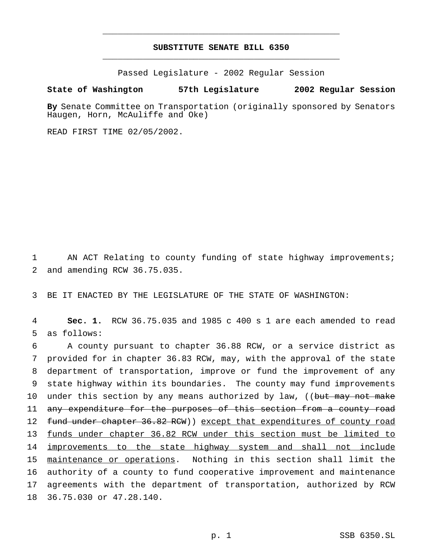## **SUBSTITUTE SENATE BILL 6350** \_\_\_\_\_\_\_\_\_\_\_\_\_\_\_\_\_\_\_\_\_\_\_\_\_\_\_\_\_\_\_\_\_\_\_\_\_\_\_\_\_\_\_\_\_\_\_

\_\_\_\_\_\_\_\_\_\_\_\_\_\_\_\_\_\_\_\_\_\_\_\_\_\_\_\_\_\_\_\_\_\_\_\_\_\_\_\_\_\_\_\_\_\_\_

Passed Legislature - 2002 Regular Session

### **State of Washington 57th Legislature 2002 Regular Session**

**By** Senate Committee on Transportation (originally sponsored by Senators Haugen, Horn, McAuliffe and Oke)

READ FIRST TIME 02/05/2002.

1 AN ACT Relating to county funding of state highway improvements; 2 and amending RCW 36.75.035.

3 BE IT ENACTED BY THE LEGISLATURE OF THE STATE OF WASHINGTON:

4 **Sec. 1.** RCW 36.75.035 and 1985 c 400 s 1 are each amended to read 5 as follows:

 A county pursuant to chapter 36.88 RCW, or a service district as provided for in chapter 36.83 RCW, may, with the approval of the state department of transportation, improve or fund the improvement of any state highway within its boundaries. The county may fund improvements 10 under this section by any means authorized by law, ((but may not make 11 any expenditure for the purposes of this section from a county road 12 fund under chapter 36.82 RCW)) except that expenditures of county road funds under chapter 36.82 RCW under this section must be limited to 14 improvements to the state highway system and shall not include maintenance or operations. Nothing in this section shall limit the authority of a county to fund cooperative improvement and maintenance agreements with the department of transportation, authorized by RCW 36.75.030 or 47.28.140.